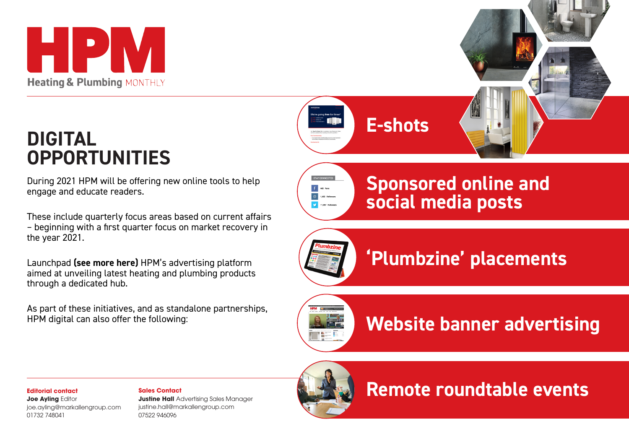

## **DIGITAL OPPORTUNITIES**

During 2021 HPM will be offering new online tools to help engage and educate readers.

These include quarterly focus areas based on current affairs – beginning with a first quarter focus on market recovery in the year 2021.

Launchpad **(see more here)** HPM's advertising platform aimed at unveiling latest heating and plumbing products through a dedicated hub.

As part of these initiatives, and as standalone partnerships, HPM digital can also offer the following:

**E-shots**



**Sponsored online and social media posts**



**'Plumbzine' placements**



**Website banner advertising**



**Joe Ayling Editor** joe.ayling@markallengroup.com 01732 748041

## **Sales Contact**

**Justine Hall** Advertising Sales Manager justine.hall@markallengroup.com 07522 946096



**Remote roundtable events**